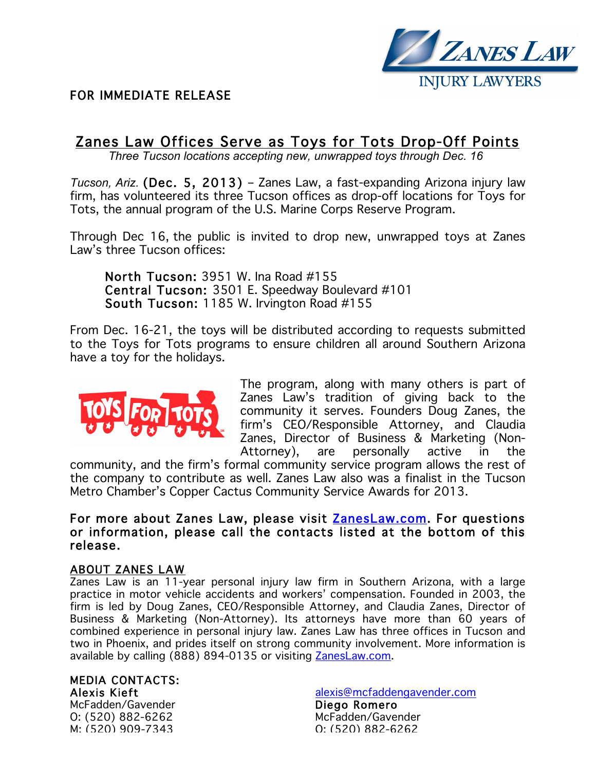

# FOR IMMEDIATE RELEASE

# Zanes Law Offices Serve as Toys for Tots Drop-Off Points

*Three Tucson locations accepting new, unwrapped toys through Dec. 16*

*Tucson, Ariz.* (Dec. 5, 2013) – Zanes Law, a fast-expanding Arizona injury law firm, has volunteered its three Tucson offices as drop-off locations for Toys for Tots, the annual program of the U.S. Marine Corps Reserve Program.

Through Dec 16, the public is invited to drop new, unwrapped toys at Zanes Law's three Tucson offices:

 North Tucson: 3951 W. Ina Road #155 Central Tucson: 3501 E. Speedway Boulevard #101 South Tucson: 1185 W. Irvington Road #155

From Dec. 16-21, the toys will be distributed according to requests submitted to the Toys for Tots programs to ensure children all around Southern Arizona have a toy for the holidays.



The program, along with many others is part of Zanes Law's tradition of giving back to the community it serves. Founders Doug Zanes, the firm's CEO/Responsible Attorney, and Claudia Zanes, Director of Business & Marketing (Non-Attorney), are personally active in the

community, and the firm's formal community service program allows the rest of the company to contribute as well. Zanes Law also was a finalist in the Tucson Metro Chamber's Copper Cactus Community Service Awards for 2013.

## For more about Zanes Law, please visit **ZanesLaw.com**. For questions or information, please call the contacts listed at the bottom of this release.

### ABOUT ZANES LAW

Zanes Law is an 11-year personal injury law firm in Southern Arizona, with a large practice in motor vehicle accidents and workers' compensation. Founded in 2003, the firm is led by Doug Zanes, CEO/Responsible Attorney, and Claudia Zanes, Director of Business & Marketing (Non-Attorney). Its attorneys have more than 60 years of combined experience in personal injury law. Zanes Law has three offices in Tucson and two in Phoenix, and prides itself on strong community involvement. More information is available by calling (888) 894-0135 or visiting ZanesLaw.com.

### MEDIA CONTACTS: Alexis Kieft

McFadden/Gavender O: (520) 882-6262 M: (520) 909-7343

alexis@mcfaddengavender.com Diego Romero McFadden/Gavender O: (520) 882-6262